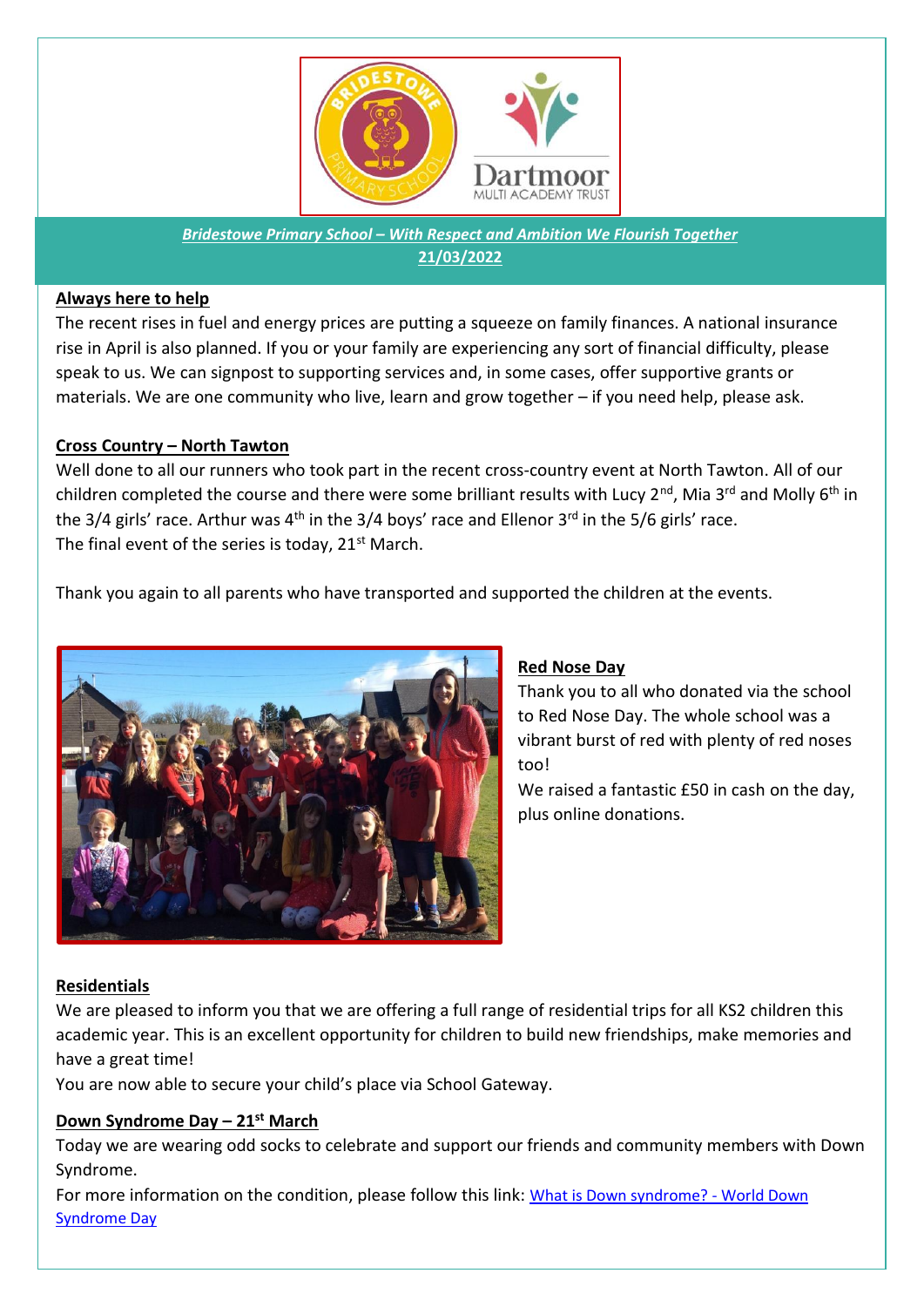

*Bridestowe Primary School – With Respect and Ambition We Flourish Together* **21/03/2022**

## **Always here to help**

The recent rises in fuel and energy prices are putting a squeeze on family finances. A national insurance rise in April is also planned. If you or your family are experiencing any sort of financial difficulty, please speak to us. We can signpost to supporting services and, in some cases, offer supportive grants or materials. We are one community who live, learn and grow together – if you need help, please ask.

# **Cross Country – North Tawton**

Well done to all our runners who took part in the recent cross-country event at North Tawton. All of our children completed the course and there were some brilliant results with Lucy 2<sup>nd</sup>, Mia 3<sup>rd</sup> and Molly 6<sup>th</sup> in the 3/4 girls' race. Arthur was 4<sup>th</sup> in the 3/4 boys' race and Ellenor 3<sup>rd</sup> in the 5/6 girls' race. The final event of the series is today, 21<sup>st</sup> March.

Thank you again to all parents who have transported and supported the children at the events.



# **Red Nose Day**

Thank you to all who donated via the school to Red Nose Day. The whole school was a vibrant burst of red with plenty of red noses too!

We raised a fantastic £50 in cash on the day, plus online donations.

# **Residentials**

We are pleased to inform you that we are offering a full range of residential trips for all KS2 children this academic year. This is an excellent opportunity for children to build new friendships, make memories and have a great time!

You are now able to secure your child's place via School Gateway.

# **Down Syndrome Day – 21st March**

Today we are wearing odd socks to celebrate and support our friends and community members with Down Syndrome.

For more information on the condition, please follow this link: [What is Down syndrome? -](https://www.worlddownsyndromeday.org/what-is-down-syndrome) World Down [Syndrome Day](https://www.worlddownsyndromeday.org/what-is-down-syndrome)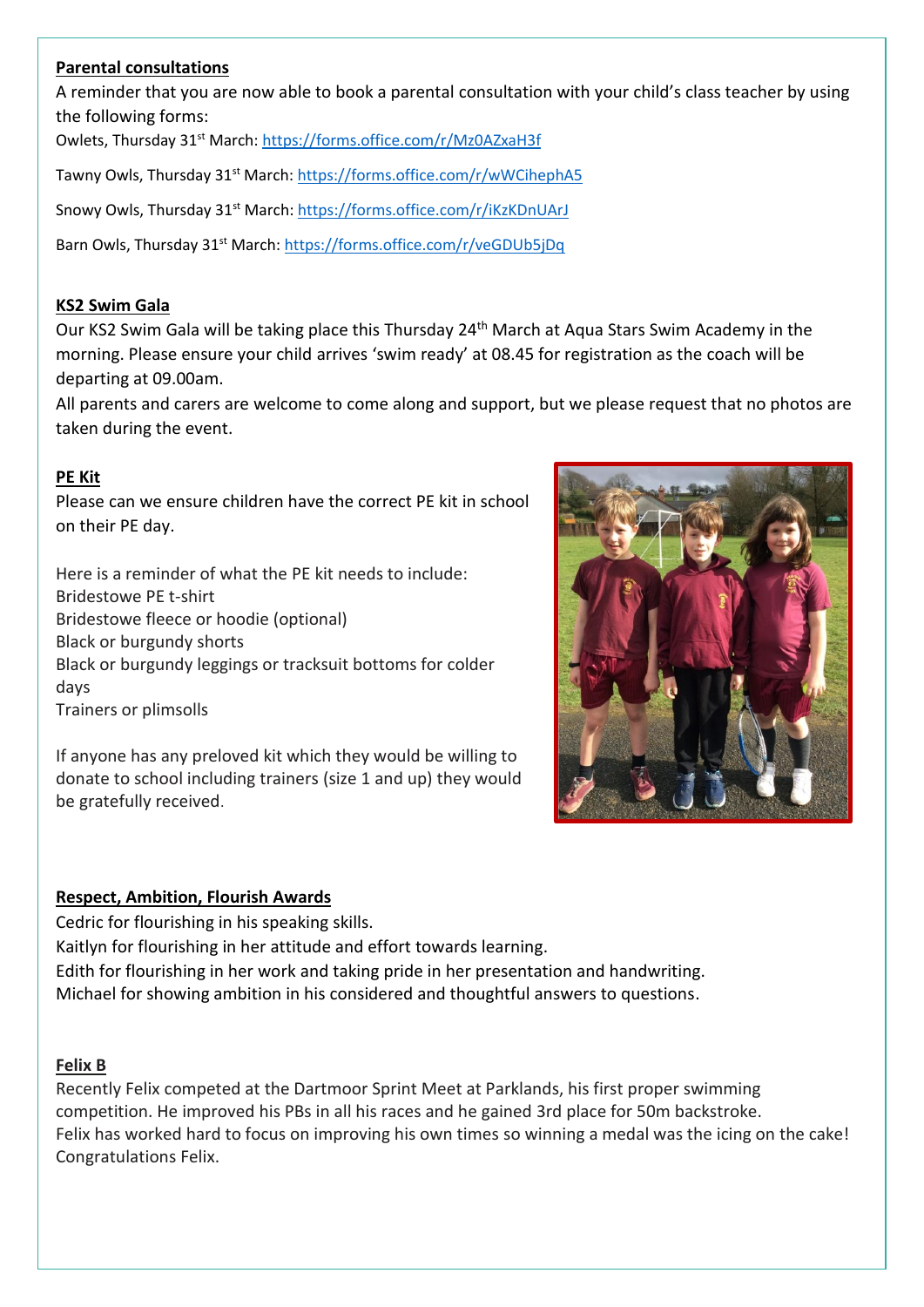## **Parental consultations**

A reminder that you are now able to book a parental consultation with your child's class teacher by using the following forms:

Owlets, Thursday 31st March:<https://forms.office.com/r/Mz0AZxaH3f>

Tawny Owls, Thursday 31<sup>st</sup> March[: https://forms.office.com/r/wWCihephA5](https://forms.office.com/r/wWCihephA5)

Snowy Owls, Thursday 31<sup>st</sup> March:<https://forms.office.com/r/iKzKDnUArJ>

Barn Owls, Thursday 31<sup>st</sup> March:<https://forms.office.com/r/veGDUb5jDq>

#### **KS2 Swim Gala**

Our KS2 Swim Gala will be taking place this Thursday 24<sup>th</sup> March at Aqua Stars Swim Academy in the morning. Please ensure your child arrives 'swim ready' at 08.45 for registration as the coach will be departing at 09.00am.

All parents and carers are welcome to come along and support, but we please request that no photos are taken during the event.

## **PE Kit**

Please can we ensure children have the correct PE kit in school on their PE day.

Here is a reminder of what the PE kit needs to include: Bridestowe PE t-shirt Bridestowe fleece or hoodie (optional) Black or burgundy shorts Black or burgundy leggings or tracksuit bottoms for colder days Trainers or plimsolls

If anyone has any preloved kit which they would be willing to donate to school including trainers (size 1 and up) they would be gratefully received.



## **Respect, Ambition, Flourish Awards**

Cedric for flourishing in his speaking skills.

Kaitlyn for flourishing in her attitude and effort towards learning.

Edith for flourishing in her work and taking pride in her presentation and handwriting. Michael for showing ambition in his considered and thoughtful answers to questions.

## **Felix B**

Recently Felix competed at the Dartmoor Sprint Meet at Parklands, his first proper swimming competition. He improved his PBs in all his races and he gained 3rd place for 50m backstroke. Felix has worked hard to focus on improving his own times so winning a medal was the icing on the cake! Congratulations Felix.